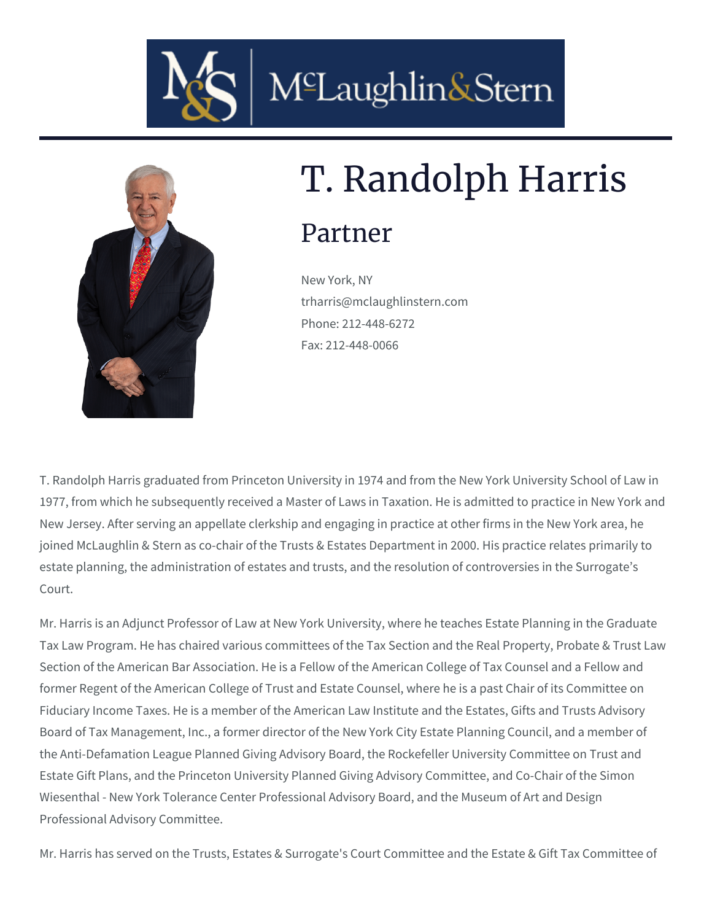



# T. Randolph Harris

## Partner

New York, NY trharris@mclaughlinstern.com Phone: 212-448-6272 Fax: 212-448-0066

T. Randolph Harris graduated from Princeton University in 1974 and from the New York University School of Law in 1977, from which he subsequently received a Master of Laws in Taxation. He is admitted to practice in New York and New Jersey. After serving an appellate clerkship and engaging in practice at other firms in the New York area, he joined McLaughlin & Stern as co-chair of the Trusts & Estates Department in 2000. His practice relates primarily to estate planning, the administration of estates and trusts, and the resolution of controversies in the Surrogate's Court.

Mr. Harris is an Adjunct Professor of Law at New York University, where he teaches Estate Planning in the Graduate Tax Law Program. He has chaired various committees of the Tax Section and the Real Property, Probate & Trust Law Section of the American Bar Association. He is a Fellow of the American College of Tax Counsel and a Fellow and former Regent of the American College of Trust and Estate Counsel, where he is a past Chair of its Committee on Fiduciary Income Taxes. He is a member of the American Law Institute and the Estates, Gifts and Trusts Advisory Board of Tax Management, Inc., a former director of the New York City Estate Planning Council, and a member of the Anti-Defamation League Planned Giving Advisory Board, the Rockefeller University Committee on Trust and Estate Gift Plans, and the Princeton University Planned Giving Advisory Committee, and Co-Chair of the Simon Wiesenthal - New York Tolerance Center Professional Advisory Board, and the Museum of Art and Design Professional Advisory Committee.

Mr. Harris has served on the Trusts, Estates & Surrogate's Court Committee and the Estate & Gift Tax Committee of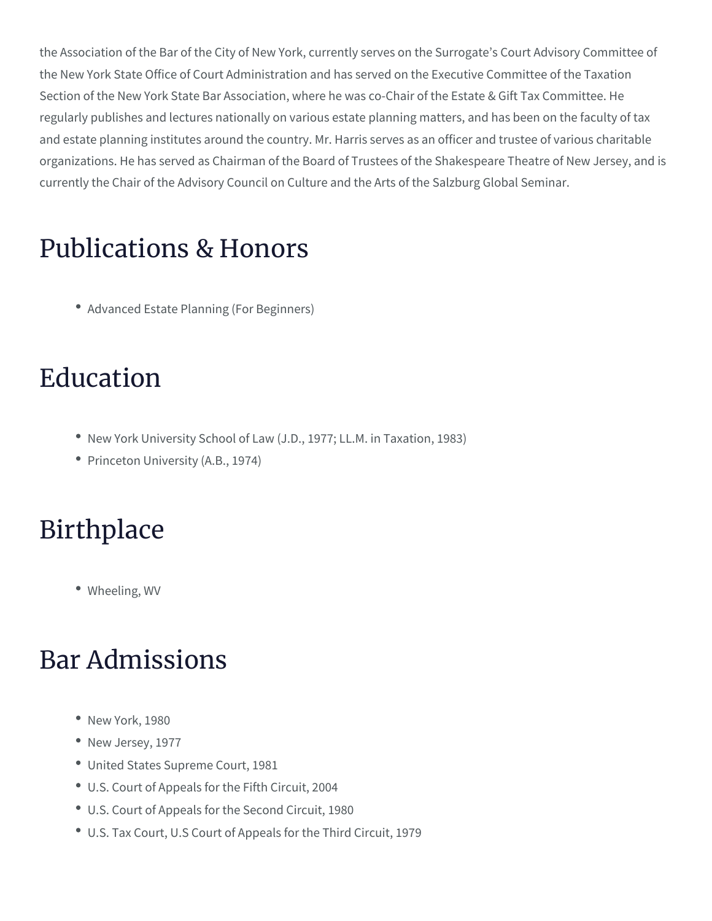the Association of the Bar of the City of New York, currently serves on the New York State Office of Court Administration and has served on the Section of the New York State Bar Association, where he was co-Chair o regularly publishes and lectures nationally on various estate planning m and estate planning institutes around the country. Mr. Harris serves as organizations. He has served as Chairman of the Board of Trustees of th currently the Chair of the Advisory Council on Culture and the Arts of th

#### Publications & Honors

[Advanced Estate Plannin](/blog/advanced-estate-planning-for-beginners/)g (For Beginners)

### Education

- \* New York University School of Law (J.D., 1977; LL.M. in Taxation,
- Princeton University (A.B., 1974)

#### Birthplace

Wheeling, WV

#### Bar Admissions

- New York, 1980
- New Jersey, 1977
- United States Supreme Court, 1981
- U.S. Court of Appeals for the Fifth Circuit, 2004
- U.S. Court of Appeals for the Second Circuit, 1980
- U.S. Tax Court, U.S Court of Appeals for the Third Circuit, 1979